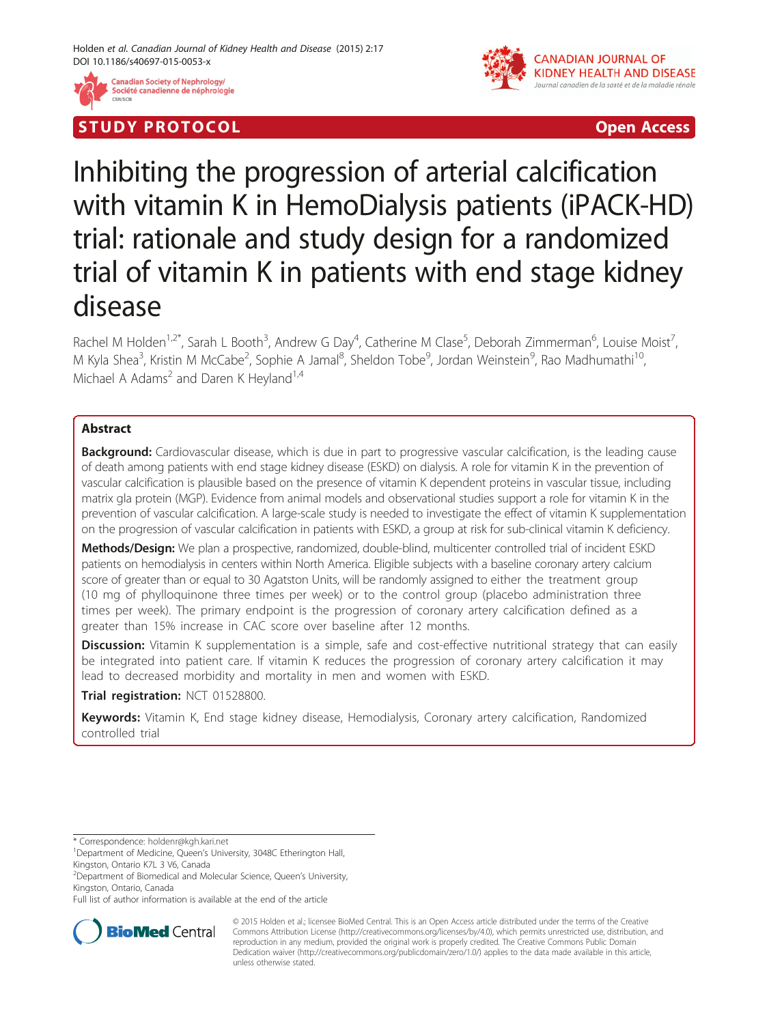

# S TUD Y P RO TOCO L Open Access



# Inhibiting the progression of arterial calcification with vitamin K in HemoDialysis patients (iPACK-HD) trial: rationale and study design for a randomized trial of vitamin K in patients with end stage kidney disease

Rachel M Holden<sup>1,2\*</sup>, Sarah L Booth<sup>3</sup>, Andrew G Day<sup>4</sup>, Catherine M Clase<sup>5</sup>, Deborah Zimmerman<sup>6</sup>, Louise Moist<sup>7</sup> , M Kyla Shea<sup>3</sup>, Kristin M McCabe<sup>2</sup>, Sophie A Jamal<sup>8</sup>, Sheldon Tobe<sup>9</sup>, Jordan Weinstein<sup>9</sup>, Rao Madhumathi<sup>10</sup>, Michael A Adams<sup>2</sup> and Daren K Heyland<sup>1,4</sup>

# Abstract

**Background:** Cardiovascular disease, which is due in part to progressive vascular calcification, is the leading cause of death among patients with end stage kidney disease (ESKD) on dialysis. A role for vitamin K in the prevention of vascular calcification is plausible based on the presence of vitamin K dependent proteins in vascular tissue, including matrix gla protein (MGP). Evidence from animal models and observational studies support a role for vitamin K in the prevention of vascular calcification. A large-scale study is needed to investigate the effect of vitamin K supplementation on the progression of vascular calcification in patients with ESKD, a group at risk for sub-clinical vitamin K deficiency.

Methods/Design: We plan a prospective, randomized, double-blind, multicenter controlled trial of incident ESKD patients on hemodialysis in centers within North America. Eligible subjects with a baseline coronary artery calcium score of greater than or equal to 30 Agatston Units, will be randomly assigned to either the treatment group (10 mg of phylloquinone three times per week) or to the control group (placebo administration three times per week). The primary endpoint is the progression of coronary artery calcification defined as a greater than 15% increase in CAC score over baseline after 12 months.

Discussion: Vitamin K supplementation is a simple, safe and cost-effective nutritional strategy that can easily be integrated into patient care. If vitamin K reduces the progression of coronary artery calcification it may lead to decreased morbidity and mortality in men and women with ESKD.

Trial registration: [NCT 01528800](https://clinicaltrials.gov/ct2/results?term=NCT01528800).

Keywords: Vitamin K, End stage kidney disease, Hemodialysis, Coronary artery calcification, Randomized controlled trial

\* Correspondence: [holdenr@kgh.kari.net](mailto:holdenr@kgh.kari.net) <sup>1</sup>

2 Department of Biomedical and Molecular Science, Queen's University, Kingston, Ontario, Canada

Full list of author information is available at the end of the article



© 2015 Holden et al.; licensee BioMed Central. This is an Open Access article distributed under the terms of the Creative Commons Attribution License [\(http://creativecommons.org/licenses/by/4.0\)](http://creativecommons.org/licenses/by/4.0), which permits unrestricted use, distribution, and reproduction in any medium, provided the original work is properly credited. The Creative Commons Public Domain Dedication waiver [\(http://creativecommons.org/publicdomain/zero/1.0/](http://creativecommons.org/publicdomain/zero/1.0/)) applies to the data made available in this article, unless otherwise stated.

<sup>&</sup>lt;sup>1</sup>Department of Medicine, Queen's University, 3048C Etherington Hall, Kingston, Ontario K7L 3 V6, Canada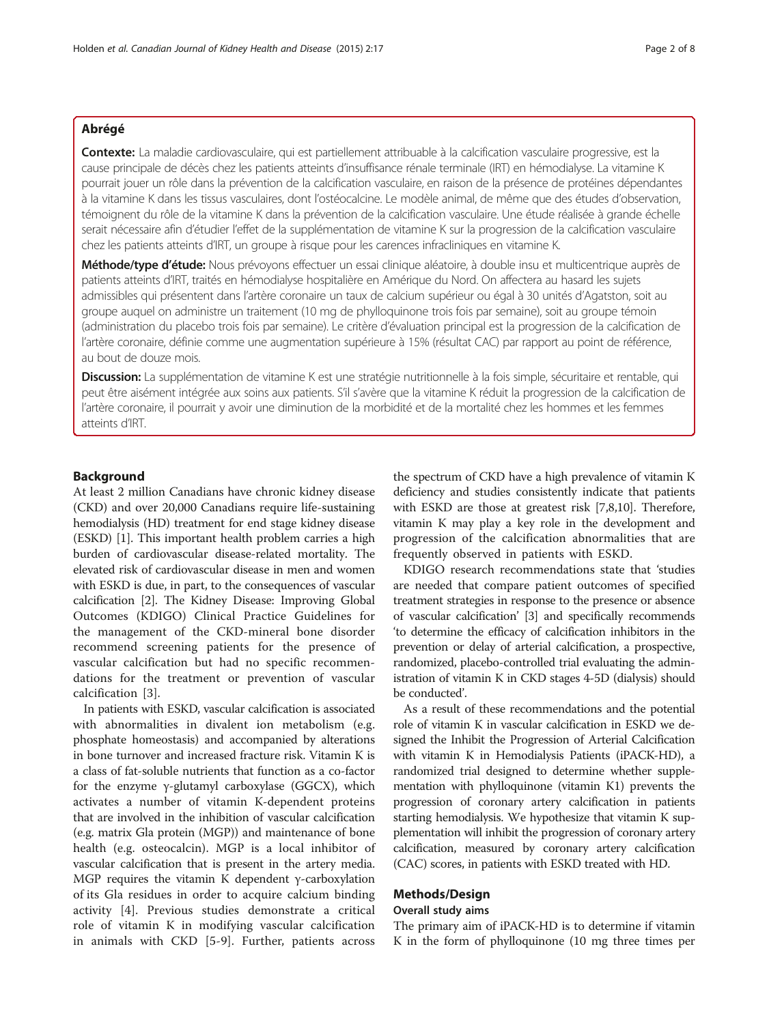# Abrégé

Contexte: La maladie cardiovasculaire, qui est partiellement attribuable à la calcification vasculaire progressive, est la cause principale de décès chez les patients atteints d'insuffisance rénale terminale (IRT) en hémodialyse. La vitamine K pourrait jouer un rôle dans la prévention de la calcification vasculaire, en raison de la présence de protéines dépendantes à la vitamine K dans les tissus vasculaires, dont l'ostéocalcine. Le modèle animal, de même que des études d'observation, témoignent du rôle de la vitamine K dans la prévention de la calcification vasculaire. Une étude réalisée à grande échelle serait nécessaire afin d'étudier l'effet de la supplémentation de vitamine K sur la progression de la calcification vasculaire chez les patients atteints d'IRT, un groupe à risque pour les carences infracliniques en vitamine K.

Méthode/type d'étude: Nous prévoyons effectuer un essai clinique aléatoire, à double insu et multicentrique auprès de patients atteints d'IRT, traités en hémodialyse hospitalière en Amérique du Nord. On affectera au hasard les sujets admissibles qui présentent dans l'artère coronaire un taux de calcium supérieur ou égal à 30 unités d'Agatston, soit au groupe auquel on administre un traitement (10 mg de phylloquinone trois fois par semaine), soit au groupe témoin (administration du placebo trois fois par semaine). Le critère d'évaluation principal est la progression de la calcification de l'artère coronaire, définie comme une augmentation supérieure à 15% (résultat CAC) par rapport au point de référence, au bout de douze mois.

Discussion: La supplémentation de vitamine K est une stratégie nutritionnelle à la fois simple, sécuritaire et rentable, qui peut être aisément intégrée aux soins aux patients. S'il s'avère que la vitamine K réduit la progression de la calcification de l'artère coronaire, il pourrait y avoir une diminution de la morbidité et de la mortalité chez les hommes et les femmes atteints d'IRT.

# Background

At least 2 million Canadians have chronic kidney disease (CKD) and over 20,000 Canadians require life-sustaining hemodialysis (HD) treatment for end stage kidney disease (ESKD) [\[1](#page-7-0)]. This important health problem carries a high burden of cardiovascular disease-related mortality. The elevated risk of cardiovascular disease in men and women with ESKD is due, in part, to the consequences of vascular calcification [\[2](#page-7-0)]. The Kidney Disease: Improving Global Outcomes (KDIGO) Clinical Practice Guidelines for the management of the CKD-mineral bone disorder recommend screening patients for the presence of vascular calcification but had no specific recommendations for the treatment or prevention of vascular calcification [[3\]](#page-7-0).

In patients with ESKD, vascular calcification is associated with abnormalities in divalent ion metabolism (e.g. phosphate homeostasis) and accompanied by alterations in bone turnover and increased fracture risk. Vitamin K is a class of fat-soluble nutrients that function as a co-factor for the enzyme γ-glutamyl carboxylase (GGCX), which activates a number of vitamin K-dependent proteins that are involved in the inhibition of vascular calcification (e.g. matrix Gla protein (MGP)) and maintenance of bone health (e.g. osteocalcin). MGP is a local inhibitor of vascular calcification that is present in the artery media. MGP requires the vitamin K dependent γ-carboxylation of its Gla residues in order to acquire calcium binding activity [[4\]](#page-7-0). Previous studies demonstrate a critical role of vitamin K in modifying vascular calcification in animals with CKD [\[5](#page-7-0)-[9](#page-7-0)]. Further, patients across

the spectrum of CKD have a high prevalence of vitamin K deficiency and studies consistently indicate that patients with ESKD are those at greatest risk [\[7,8,10\]](#page-7-0). Therefore, vitamin K may play a key role in the development and progression of the calcification abnormalities that are frequently observed in patients with ESKD.

KDIGO research recommendations state that 'studies are needed that compare patient outcomes of specified treatment strategies in response to the presence or absence of vascular calcification' [\[3](#page-7-0)] and specifically recommends 'to determine the efficacy of calcification inhibitors in the prevention or delay of arterial calcification, a prospective, randomized, placebo-controlled trial evaluating the administration of vitamin K in CKD stages 4-5D (dialysis) should be conducted'.

As a result of these recommendations and the potential role of vitamin K in vascular calcification in ESKD we designed the Inhibit the Progression of Arterial Calcification with vitamin K in Hemodialysis Patients (iPACK-HD), a randomized trial designed to determine whether supplementation with phylloquinone (vitamin K1) prevents the progression of coronary artery calcification in patients starting hemodialysis. We hypothesize that vitamin K supplementation will inhibit the progression of coronary artery calcification, measured by coronary artery calcification (CAC) scores, in patients with ESKD treated with HD.

# Methods/Design

# Overall study aims

The primary aim of iPACK-HD is to determine if vitamin K in the form of phylloquinone (10 mg three times per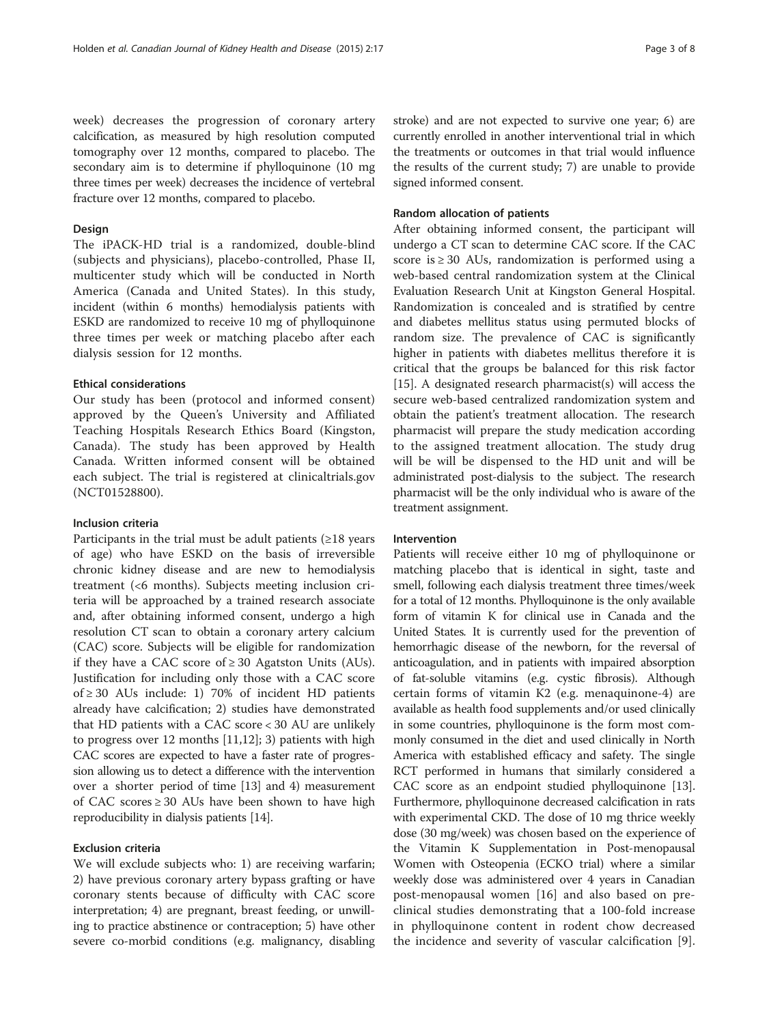week) decreases the progression of coronary artery calcification, as measured by high resolution computed tomography over 12 months, compared to placebo. The secondary aim is to determine if phylloquinone (10 mg three times per week) decreases the incidence of vertebral fracture over 12 months, compared to placebo.

## Design

The iPACK-HD trial is a randomized, double-blind (subjects and physicians), placebo-controlled, Phase II, multicenter study which will be conducted in North America (Canada and United States). In this study, incident (within 6 months) hemodialysis patients with ESKD are randomized to receive 10 mg of phylloquinone three times per week or matching placebo after each dialysis session for 12 months.

# Ethical considerations

Our study has been (protocol and informed consent) approved by the Queen's University and Affiliated Teaching Hospitals Research Ethics Board (Kingston, Canada). The study has been approved by Health Canada. Written informed consent will be obtained each subject. The trial is registered at clinicaltrials.gov (NCT01528800).

# Inclusion criteria

Participants in the trial must be adult patients  $(\geq 18$  years of age) who have ESKD on the basis of irreversible chronic kidney disease and are new to hemodialysis treatment (<6 months). Subjects meeting inclusion criteria will be approached by a trained research associate and, after obtaining informed consent, undergo a high resolution CT scan to obtain a coronary artery calcium (CAC) score. Subjects will be eligible for randomization if they have a CAC score of  $\geq$  30 Agatston Units (AUs). Justification for including only those with a CAC score of ≥ 30 AUs include: 1) 70% of incident HD patients already have calcification; 2) studies have demonstrated that HD patients with a CAC score < 30 AU are unlikely to progress over 12 months [[11](#page-7-0),[12](#page-7-0)]; 3) patients with high CAC scores are expected to have a faster rate of progression allowing us to detect a difference with the intervention over a shorter period of time [[13](#page-7-0)] and 4) measurement of CAC scores ≥ 30 AUs have been shown to have high reproducibility in dialysis patients [[14](#page-7-0)].

#### Exclusion criteria

We will exclude subjects who: 1) are receiving warfarin; 2) have previous coronary artery bypass grafting or have coronary stents because of difficulty with CAC score interpretation; 4) are pregnant, breast feeding, or unwilling to practice abstinence or contraception; 5) have other severe co-morbid conditions (e.g. malignancy, disabling stroke) and are not expected to survive one year; 6) are currently enrolled in another interventional trial in which the treatments or outcomes in that trial would influence the results of the current study; 7) are unable to provide signed informed consent.

#### Random allocation of patients

After obtaining informed consent, the participant will undergo a CT scan to determine CAC score. If the CAC score is ≥ 30 AUs, randomization is performed using a web-based central randomization system at the Clinical Evaluation Research Unit at Kingston General Hospital. Randomization is concealed and is stratified by centre and diabetes mellitus status using permuted blocks of random size. The prevalence of CAC is significantly higher in patients with diabetes mellitus therefore it is critical that the groups be balanced for this risk factor [[15\]](#page-7-0). A designated research pharmacist(s) will access the secure web-based centralized randomization system and obtain the patient's treatment allocation. The research pharmacist will prepare the study medication according to the assigned treatment allocation. The study drug will be will be dispensed to the HD unit and will be administrated post-dialysis to the subject. The research pharmacist will be the only individual who is aware of the treatment assignment.

#### Intervention

Patients will receive either 10 mg of phylloquinone or matching placebo that is identical in sight, taste and smell, following each dialysis treatment three times/week for a total of 12 months. Phylloquinone is the only available form of vitamin K for clinical use in Canada and the United States. It is currently used for the prevention of hemorrhagic disease of the newborn, for the reversal of anticoagulation, and in patients with impaired absorption of fat-soluble vitamins (e.g. cystic fibrosis). Although certain forms of vitamin K2 (e.g. menaquinone-4) are available as health food supplements and/or used clinically in some countries, phylloquinone is the form most commonly consumed in the diet and used clinically in North America with established efficacy and safety. The single RCT performed in humans that similarly considered a CAC score as an endpoint studied phylloquinone [[13](#page-7-0)]. Furthermore, phylloquinone decreased calcification in rats with experimental CKD. The dose of 10 mg thrice weekly dose (30 mg/week) was chosen based on the experience of the Vitamin K Supplementation in Post-menopausal Women with Osteopenia (ECKO trial) where a similar weekly dose was administered over 4 years in Canadian post-menopausal women [[16\]](#page-7-0) and also based on preclinical studies demonstrating that a 100-fold increase in phylloquinone content in rodent chow decreased the incidence and severity of vascular calcification [\[9](#page-7-0)].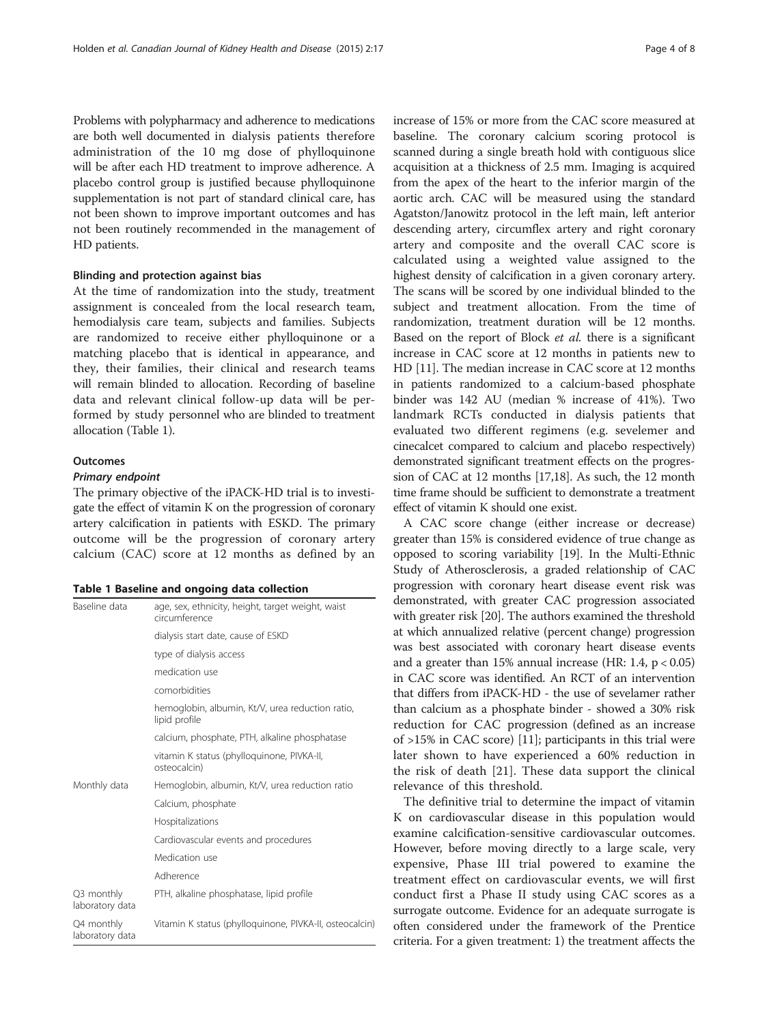<span id="page-3-0"></span>Problems with polypharmacy and adherence to medications are both well documented in dialysis patients therefore administration of the 10 mg dose of phylloquinone will be after each HD treatment to improve adherence. A placebo control group is justified because phylloquinone supplementation is not part of standard clinical care, has not been shown to improve important outcomes and has not been routinely recommended in the management of HD patients.

#### Blinding and protection against bias

At the time of randomization into the study, treatment assignment is concealed from the local research team, hemodialysis care team, subjects and families. Subjects are randomized to receive either phylloquinone or a matching placebo that is identical in appearance, and they, their families, their clinical and research teams will remain blinded to allocation. Recording of baseline data and relevant clinical follow-up data will be performed by study personnel who are blinded to treatment allocation (Table 1).

## **Outcomes**

#### Primary endpoint

The primary objective of the iPACK-HD trial is to investigate the effect of vitamin K on the progression of coronary artery calcification in patients with ESKD. The primary outcome will be the progression of coronary artery calcium (CAC) score at 12 months as defined by an

|  |  |  |  |  | Table 1 Baseline and ongoing data collection |
|--|--|--|--|--|----------------------------------------------|
|--|--|--|--|--|----------------------------------------------|

| Baseline data                 | age, sex, ethnicity, height, target weight, waist<br>circumference |  |  |  |
|-------------------------------|--------------------------------------------------------------------|--|--|--|
|                               | dialysis start date, cause of ESKD                                 |  |  |  |
|                               | type of dialysis access                                            |  |  |  |
|                               | medication use                                                     |  |  |  |
|                               | comorbidities                                                      |  |  |  |
|                               | hemoglobin, albumin, Kt/V, urea reduction ratio,<br>lipid profile  |  |  |  |
|                               | calcium, phosphate, PTH, alkaline phosphatase                      |  |  |  |
|                               | vitamin K status (phylloquinone, PIVKA-II,<br>osteocalcin)         |  |  |  |
| Monthly data                  | Hemoglobin, albumin, Kt/V, urea reduction ratio                    |  |  |  |
|                               | Calcium, phosphate                                                 |  |  |  |
|                               | Hospitalizations                                                   |  |  |  |
|                               | Cardiovascular events and procedures                               |  |  |  |
|                               | Medication use                                                     |  |  |  |
|                               | Adherence                                                          |  |  |  |
| Q3 monthly<br>laboratory data | PTH, alkaline phosphatase, lipid profile                           |  |  |  |
| Q4 monthly<br>laboratory data | Vitamin K status (phylloquinone, PIVKA-II, osteocalcin)            |  |  |  |

increase of 15% or more from the CAC score measured at baseline. The coronary calcium scoring protocol is scanned during a single breath hold with contiguous slice acquisition at a thickness of 2.5 mm. Imaging is acquired from the apex of the heart to the inferior margin of the aortic arch. CAC will be measured using the standard Agatston/Janowitz protocol in the left main, left anterior descending artery, circumflex artery and right coronary artery and composite and the overall CAC score is calculated using a weighted value assigned to the highest density of calcification in a given coronary artery. The scans will be scored by one individual blinded to the subject and treatment allocation. From the time of randomization, treatment duration will be 12 months. Based on the report of Block *et al.* there is a significant increase in CAC score at 12 months in patients new to HD [\[11\]](#page-7-0). The median increase in CAC score at 12 months in patients randomized to a calcium-based phosphate binder was 142 AU (median % increase of 41%). Two landmark RCTs conducted in dialysis patients that evaluated two different regimens (e.g. sevelemer and cinecalcet compared to calcium and placebo respectively) demonstrated significant treatment effects on the progression of CAC at 12 months [\[17,18](#page-7-0)]. As such, the 12 month time frame should be sufficient to demonstrate a treatment effect of vitamin K should one exist.

A CAC score change (either increase or decrease) greater than 15% is considered evidence of true change as opposed to scoring variability [[19](#page-7-0)]. In the Multi-Ethnic Study of Atherosclerosis, a graded relationship of CAC progression with coronary heart disease event risk was demonstrated, with greater CAC progression associated with greater risk [[20](#page-7-0)]. The authors examined the threshold at which annualized relative (percent change) progression was best associated with coronary heart disease events and a greater than  $15\%$  annual increase (HR: 1.4,  $p < 0.05$ ) in CAC score was identified. An RCT of an intervention that differs from iPACK-HD - the use of sevelamer rather than calcium as a phosphate binder - showed a 30% risk reduction for CAC progression (defined as an increase of >15% in CAC score) [\[11\]](#page-7-0); participants in this trial were later shown to have experienced a 60% reduction in the risk of death [[21\]](#page-7-0). These data support the clinical relevance of this threshold.

The definitive trial to determine the impact of vitamin K on cardiovascular disease in this population would examine calcification-sensitive cardiovascular outcomes. However, before moving directly to a large scale, very expensive, Phase III trial powered to examine the treatment effect on cardiovascular events, we will first conduct first a Phase II study using CAC scores as a surrogate outcome. Evidence for an adequate surrogate is often considered under the framework of the Prentice criteria. For a given treatment: 1) the treatment affects the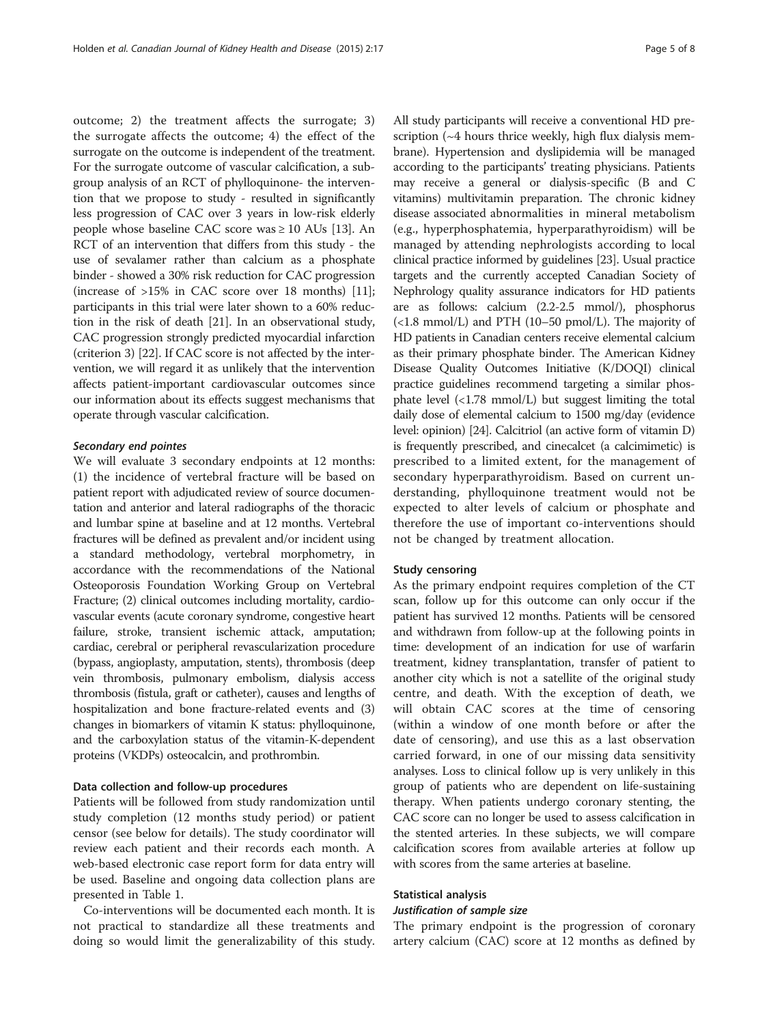outcome; 2) the treatment affects the surrogate; 3) the surrogate affects the outcome; 4) the effect of the surrogate on the outcome is independent of the treatment. For the surrogate outcome of vascular calcification, a subgroup analysis of an RCT of phylloquinone- the intervention that we propose to study - resulted in significantly less progression of CAC over 3 years in low-risk elderly people whose baseline CAC score was ≥ 10 AUs [\[13\]](#page-7-0). An RCT of an intervention that differs from this study - the use of sevalamer rather than calcium as a phosphate binder - showed a 30% risk reduction for CAC progression (increase of >15% in CAC score over 18 months) [[11](#page-7-0)]; participants in this trial were later shown to a 60% reduction in the risk of death [[21](#page-7-0)]. In an observational study, CAC progression strongly predicted myocardial infarction (criterion 3) [\[22\]](#page-7-0). If CAC score is not affected by the intervention, we will regard it as unlikely that the intervention affects patient-important cardiovascular outcomes since our information about its effects suggest mechanisms that operate through vascular calcification.

## Secondary end pointes

We will evaluate 3 secondary endpoints at 12 months: (1) the incidence of vertebral fracture will be based on patient report with adjudicated review of source documentation and anterior and lateral radiographs of the thoracic and lumbar spine at baseline and at 12 months. Vertebral fractures will be defined as prevalent and/or incident using a standard methodology, vertebral morphometry, in accordance with the recommendations of the National Osteoporosis Foundation Working Group on Vertebral Fracture; (2) clinical outcomes including mortality, cardiovascular events (acute coronary syndrome, congestive heart failure, stroke, transient ischemic attack, amputation; cardiac, cerebral or peripheral revascularization procedure (bypass, angioplasty, amputation, stents), thrombosis (deep vein thrombosis, pulmonary embolism, dialysis access thrombosis (fistula, graft or catheter), causes and lengths of hospitalization and bone fracture-related events and (3) changes in biomarkers of vitamin K status: phylloquinone, and the carboxylation status of the vitamin-K-dependent proteins (VKDPs) osteocalcin, and prothrombin.

#### Data collection and follow-up procedures

Patients will be followed from study randomization until study completion (12 months study period) or patient censor (see below for details). The study coordinator will review each patient and their records each month. A web-based electronic case report form for data entry will be used. Baseline and ongoing data collection plans are presented in Table [1](#page-3-0).

Co-interventions will be documented each month. It is not practical to standardize all these treatments and doing so would limit the generalizability of this study.

All study participants will receive a conventional HD prescription (~4 hours thrice weekly, high flux dialysis membrane). Hypertension and dyslipidemia will be managed according to the participants' treating physicians. Patients may receive a general or dialysis-specific (B and C vitamins) multivitamin preparation. The chronic kidney disease associated abnormalities in mineral metabolism (e.g., hyperphosphatemia, hyperparathyroidism) will be managed by attending nephrologists according to local clinical practice informed by guidelines [\[23\]](#page-7-0). Usual practice targets and the currently accepted Canadian Society of Nephrology quality assurance indicators for HD patients are as follows: calcium (2.2-2.5 mmol/), phosphorus (<1.8 mmol/L) and PTH (10–50 pmol/L). The majority of HD patients in Canadian centers receive elemental calcium as their primary phosphate binder. The American Kidney Disease Quality Outcomes Initiative (K/DOQI) clinical practice guidelines recommend targeting a similar phosphate level (<1.78 mmol/L) but suggest limiting the total daily dose of elemental calcium to 1500 mg/day (evidence level: opinion) [[24\]](#page-7-0). Calcitriol (an active form of vitamin D) is frequently prescribed, and cinecalcet (a calcimimetic) is prescribed to a limited extent, for the management of secondary hyperparathyroidism. Based on current understanding, phylloquinone treatment would not be expected to alter levels of calcium or phosphate and therefore the use of important co-interventions should not be changed by treatment allocation.

#### Study censoring

As the primary endpoint requires completion of the CT scan, follow up for this outcome can only occur if the patient has survived 12 months. Patients will be censored and withdrawn from follow-up at the following points in time: development of an indication for use of warfarin treatment, kidney transplantation, transfer of patient to another city which is not a satellite of the original study centre, and death. With the exception of death, we will obtain CAC scores at the time of censoring (within a window of one month before or after the date of censoring), and use this as a last observation carried forward, in one of our missing data sensitivity analyses. Loss to clinical follow up is very unlikely in this group of patients who are dependent on life-sustaining therapy. When patients undergo coronary stenting, the CAC score can no longer be used to assess calcification in the stented arteries. In these subjects, we will compare calcification scores from available arteries at follow up with scores from the same arteries at baseline.

# Statistical analysis

# Justification of sample size

The primary endpoint is the progression of coronary artery calcium (CAC) score at 12 months as defined by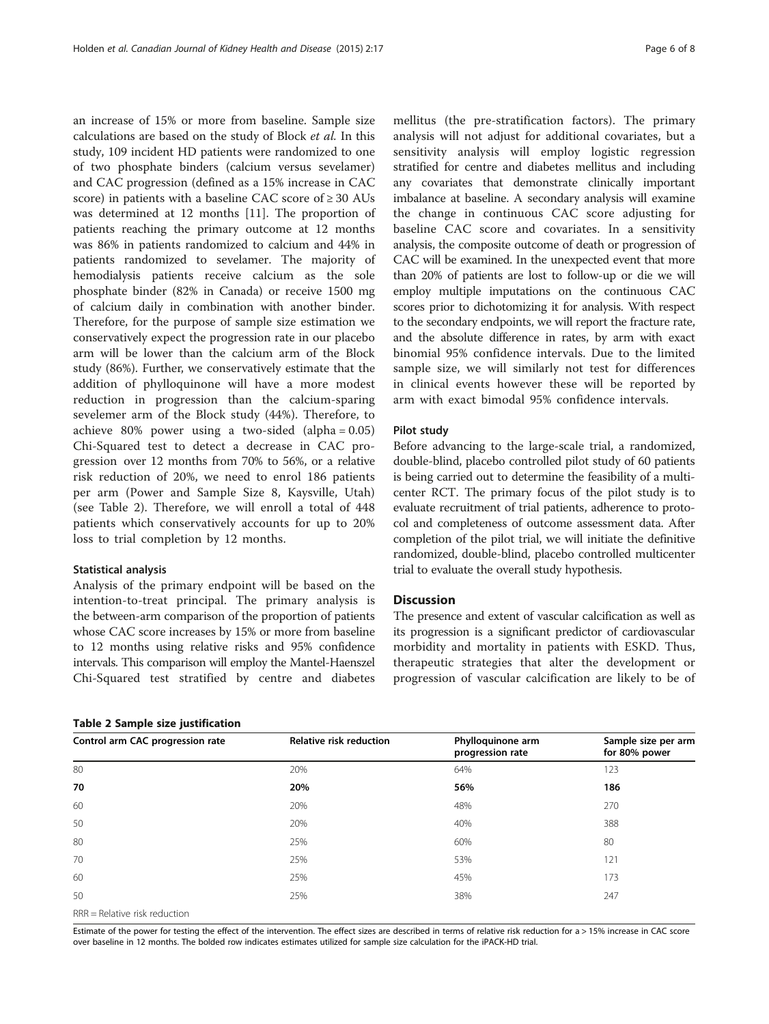an increase of 15% or more from baseline. Sample size calculations are based on the study of Block et al. In this study, 109 incident HD patients were randomized to one of two phosphate binders (calcium versus sevelamer) and CAC progression (defined as a 15% increase in CAC score) in patients with a baseline CAC score of  $\geq 30$  AUs was determined at 12 months [\[11\]](#page-7-0). The proportion of patients reaching the primary outcome at 12 months was 86% in patients randomized to calcium and 44% in patients randomized to sevelamer. The majority of hemodialysis patients receive calcium as the sole phosphate binder (82% in Canada) or receive 1500 mg of calcium daily in combination with another binder. Therefore, for the purpose of sample size estimation we conservatively expect the progression rate in our placebo arm will be lower than the calcium arm of the Block study (86%). Further, we conservatively estimate that the addition of phylloquinone will have a more modest reduction in progression than the calcium-sparing sevelemer arm of the Block study (44%). Therefore, to achieve 80% power using a two-sided (alpha = 0.05) Chi-Squared test to detect a decrease in CAC progression over 12 months from 70% to 56%, or a relative risk reduction of 20%, we need to enrol 186 patients per arm (Power and Sample Size 8, Kaysville, Utah) (see Table 2). Therefore, we will enroll a total of 448 patients which conservatively accounts for up to 20% loss to trial completion by 12 months.

#### Statistical analysis

Analysis of the primary endpoint will be based on the intention-to-treat principal. The primary analysis is the between-arm comparison of the proportion of patients whose CAC score increases by 15% or more from baseline to 12 months using relative risks and 95% confidence intervals. This comparison will employ the Mantel-Haenszel Chi-Squared test stratified by centre and diabetes

# Table 2 Sample size justification

mellitus (the pre-stratification factors). The primary analysis will not adjust for additional covariates, but a sensitivity analysis will employ logistic regression stratified for centre and diabetes mellitus and including any covariates that demonstrate clinically important imbalance at baseline. A secondary analysis will examine the change in continuous CAC score adjusting for baseline CAC score and covariates. In a sensitivity analysis, the composite outcome of death or progression of CAC will be examined. In the unexpected event that more than 20% of patients are lost to follow-up or die we will employ multiple imputations on the continuous CAC scores prior to dichotomizing it for analysis. With respect to the secondary endpoints, we will report the fracture rate, and the absolute difference in rates, by arm with exact binomial 95% confidence intervals. Due to the limited sample size, we will similarly not test for differences in clinical events however these will be reported by arm with exact bimodal 95% confidence intervals.

# Pilot study

Before advancing to the large-scale trial, a randomized, double-blind, placebo controlled pilot study of 60 patients is being carried out to determine the feasibility of a multicenter RCT. The primary focus of the pilot study is to evaluate recruitment of trial patients, adherence to protocol and completeness of outcome assessment data. After completion of the pilot trial, we will initiate the definitive randomized, double-blind, placebo controlled multicenter trial to evaluate the overall study hypothesis.

# **Discussion**

The presence and extent of vascular calcification as well as its progression is a significant predictor of cardiovascular morbidity and mortality in patients with ESKD. Thus, therapeutic strategies that alter the development or progression of vascular calcification are likely to be of

| Control arm CAC progression rate | Relative risk reduction | Phylloquinone arm<br>progression rate | Sample size per arm<br>for 80% power |
|----------------------------------|-------------------------|---------------------------------------|--------------------------------------|
| 80                               | 20%                     | 64%                                   | 123                                  |
| 70                               | 20%                     | 56%                                   | 186                                  |
| 60                               | 20%                     | 48%                                   | 270                                  |
| 50                               | 20%                     | 40%                                   | 388                                  |
| 80                               | 25%                     | 60%                                   | 80                                   |
| 70                               | 25%                     | 53%                                   | 121                                  |
| 60                               | 25%                     | 45%                                   | 173                                  |
| 50                               | 25%                     | 38%                                   | 247                                  |
|                                  |                         |                                       |                                      |

RRR = Relative risk reduction

Estimate of the power for testing the effect of the intervention. The effect sizes are described in terms of relative risk reduction for a > 15% increase in CAC score over baseline in 12 months. The bolded row indicates estimates utilized for sample size calculation for the iPACK-HD trial.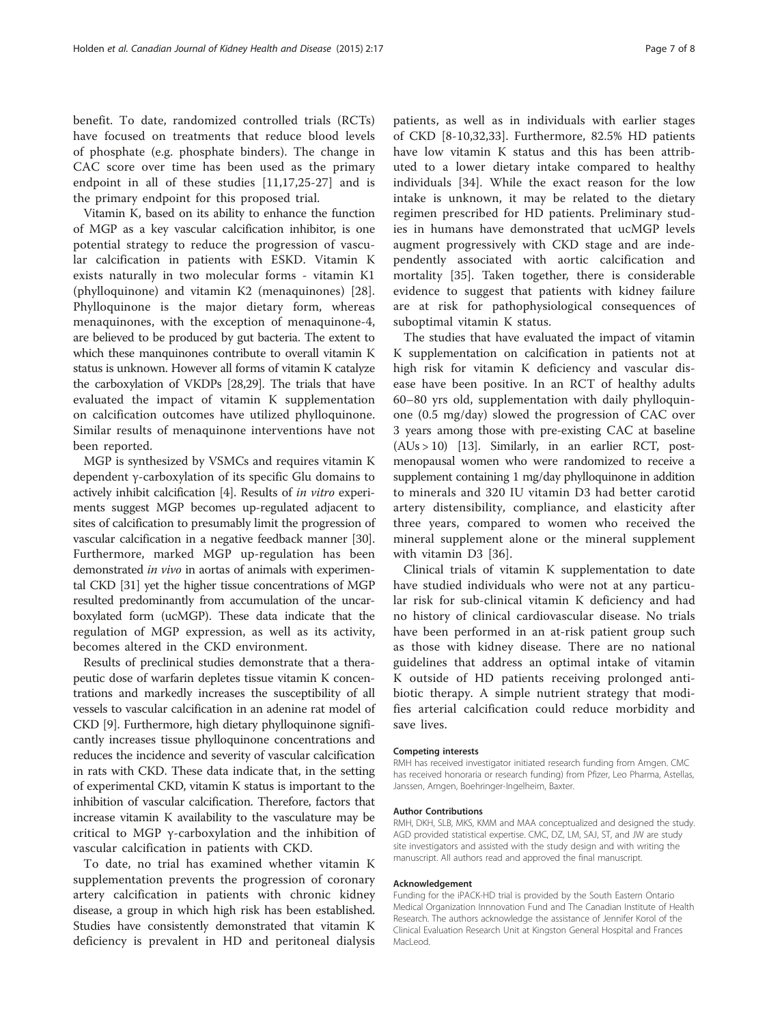benefit. To date, randomized controlled trials (RCTs) have focused on treatments that reduce blood levels of phosphate (e.g. phosphate binders). The change in CAC score over time has been used as the primary endpoint in all of these studies [\[11](#page-7-0),[17,25-27\]](#page-7-0) and is the primary endpoint for this proposed trial.

Vitamin K, based on its ability to enhance the function of MGP as a key vascular calcification inhibitor, is one potential strategy to reduce the progression of vascular calcification in patients with ESKD. Vitamin K exists naturally in two molecular forms - vitamin K1 (phylloquinone) and vitamin K2 (menaquinones) [\[28](#page-7-0)]. Phylloquinone is the major dietary form, whereas menaquinones, with the exception of menaquinone-4, are believed to be produced by gut bacteria. The extent to which these manquinones contribute to overall vitamin K status is unknown. However all forms of vitamin K catalyze the carboxylation of VKDPs [\[28,29](#page-7-0)]. The trials that have evaluated the impact of vitamin K supplementation on calcification outcomes have utilized phylloquinone. Similar results of menaquinone interventions have not been reported.

MGP is synthesized by VSMCs and requires vitamin K dependent γ-carboxylation of its specific Glu domains to actively inhibit calcification [\[4](#page-7-0)]. Results of in vitro experiments suggest MGP becomes up-regulated adjacent to sites of calcification to presumably limit the progression of vascular calcification in a negative feedback manner [[30](#page-7-0)]. Furthermore, marked MGP up-regulation has been demonstrated in vivo in aortas of animals with experimental CKD [\[31](#page-7-0)] yet the higher tissue concentrations of MGP resulted predominantly from accumulation of the uncarboxylated form (ucMGP). These data indicate that the regulation of MGP expression, as well as its activity, becomes altered in the CKD environment.

Results of preclinical studies demonstrate that a therapeutic dose of warfarin depletes tissue vitamin K concentrations and markedly increases the susceptibility of all vessels to vascular calcification in an adenine rat model of CKD [[9\]](#page-7-0). Furthermore, high dietary phylloquinone significantly increases tissue phylloquinone concentrations and reduces the incidence and severity of vascular calcification in rats with CKD. These data indicate that, in the setting of experimental CKD, vitamin K status is important to the inhibition of vascular calcification. Therefore, factors that increase vitamin K availability to the vasculature may be critical to MGP γ-carboxylation and the inhibition of vascular calcification in patients with CKD.

To date, no trial has examined whether vitamin K supplementation prevents the progression of coronary artery calcification in patients with chronic kidney disease, a group in which high risk has been established. Studies have consistently demonstrated that vitamin K deficiency is prevalent in HD and peritoneal dialysis

patients, as well as in individuals with earlier stages of CKD [\[8](#page-7-0)-[10,32](#page-7-0),[33\]](#page-7-0). Furthermore, 82.5% HD patients have low vitamin K status and this has been attributed to a lower dietary intake compared to healthy individuals [\[34](#page-7-0)]. While the exact reason for the low intake is unknown, it may be related to the dietary regimen prescribed for HD patients. Preliminary studies in humans have demonstrated that ucMGP levels augment progressively with CKD stage and are independently associated with aortic calcification and mortality [[35\]](#page-7-0). Taken together, there is considerable evidence to suggest that patients with kidney failure are at risk for pathophysiological consequences of suboptimal vitamin K status.

The studies that have evaluated the impact of vitamin K supplementation on calcification in patients not at high risk for vitamin K deficiency and vascular disease have been positive. In an RCT of healthy adults 60–80 yrs old, supplementation with daily phylloquinone (0.5 mg/day) slowed the progression of CAC over 3 years among those with pre-existing CAC at baseline  $(AUs > 10)$  [[13](#page-7-0)]. Similarly, in an earlier RCT, postmenopausal women who were randomized to receive a supplement containing 1 mg/day phylloquinone in addition to minerals and 320 IU vitamin D3 had better carotid artery distensibility, compliance, and elasticity after three years, compared to women who received the mineral supplement alone or the mineral supplement with vitamin D3 [[36\]](#page-7-0).

Clinical trials of vitamin K supplementation to date have studied individuals who were not at any particular risk for sub-clinical vitamin K deficiency and had no history of clinical cardiovascular disease. No trials have been performed in an at-risk patient group such as those with kidney disease. There are no national guidelines that address an optimal intake of vitamin K outside of HD patients receiving prolonged antibiotic therapy. A simple nutrient strategy that modifies arterial calcification could reduce morbidity and save lives.

#### Competing interests

RMH has received investigator initiated research funding from Amgen. CMC has received honoraria or research funding) from Pfizer, Leo Pharma, Astellas, Janssen, Amgen, Boehringer-Ingelheim, Baxter.

#### Author Contributions

RMH, DKH, SLB, MKS, KMM and MAA conceptualized and designed the study. AGD provided statistical expertise. CMC, DZ, LM, SAJ, ST, and JW are study site investigators and assisted with the study design and with writing the manuscript. All authors read and approved the final manuscript.

#### Acknowledgement

Funding for the iPACK-HD trial is provided by the South Eastern Ontario Medical Organization Innnovation Fund and The Canadian Institute of Health Research. The authors acknowledge the assistance of Jennifer Korol of the Clinical Evaluation Research Unit at Kingston General Hospital and Frances MacLeod.